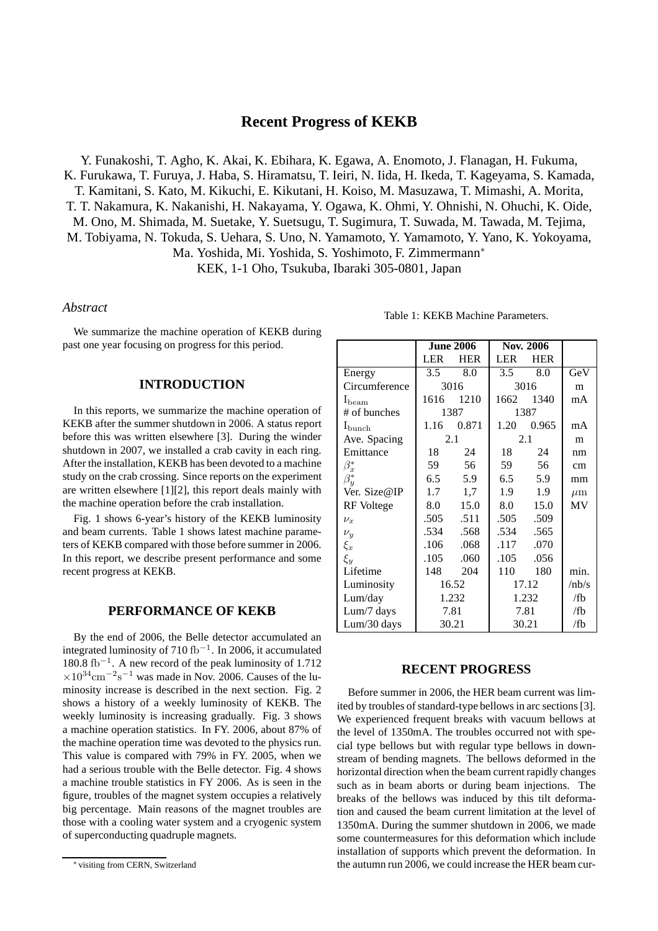# **Recent Progress of KEKB**

Y. Funakoshi, T. Agho, K. Akai, K. Ebihara, K. Egawa, A. Enomoto, J. Flanagan, H. Fukuma, K. Furukawa, T. Furuya, J. Haba, S. Hiramatsu, T. Ieiri, N. Iida, H. Ikeda, T. Kageyama, S. Kamada, T. Kamitani, S. Kato, M. Kikuchi, E. Kikutani, H. Koiso, M. Masuzawa, T. Mimashi, A. Morita, T. T. Nakamura, K. Nakanishi, H. Nakayama, Y. Ogawa, K. Ohmi, Y. Ohnishi, N. Ohuchi, K. Oide, M. Ono, M. Shimada, M. Suetake, Y. Suetsugu, T. Sugimura, T. Suwada, M. Tawada, M. Tejima, M. Tobiyama, N. Tokuda, S. Uehara, S. Uno, N. Yamamoto, Y. Yamamoto, Y. Yano, K. Yokoyama, Ma. Yoshida, Mi. Yoshida, S. Yoshimoto, F. Zimmermann<sup>∗</sup> KEK, 1-1 Oho, Tsukuba, Ibaraki 305-0801, Japan

### *Abstract*

We summarize the machine operation of KEKB during past one year focusing on progress for this period.

## **INTRODUCTION**

In this reports, we summarize the machine operation of KEKB after the summer shutdown in 2006. A status report before this was written elsewhere [3]. During the winder shutdown in 2007, we installed a crab cavity in each ring. After the installation, KEKB has been devoted to a machine study on the crab crossing. Since reports on the experiment are written elsewhere [1][2], this report deals mainly with the machine operation before the crab installation.

Fig. 1 shows 6-year's history of the KEKB luminosity and beam currents. Table 1 shows latest machine parameters of KEKB compared with those before summer in 2006. In this report, we describe present performance and some recent progress at KEKB.

### **PERFORMANCE OF KEKB**

By the end of 2006, the Belle detector accumulated an integrated luminosity of 710 fb<sup>−</sup><sup>1</sup> . In 2006, it accumulated 180.8 fb<sup>−</sup><sup>1</sup> . A new record of the peak luminosity of 1.712  $\times 10^{34}$ cm<sup>-2</sup>s<sup>-1</sup> was made in Nov. 2006. Causes of the luminosity increase is described in the next section. Fig. 2 shows a history of a weekly luminosity of KEKB. The weekly luminosity is increasing gradually. Fig. 3 shows a machine operation statistics. In FY. 2006, about 87% of the machine operation time was devoted to the physics run. This value is compared with 79% in FY. 2005, when we had a serious trouble with the Belle detector. Fig. 4 shows a machine trouble statistics in FY 2006. As is seen in the figure, troubles of the magnet system occupies a relatively big percentage. Main reasons of the magnet troubles are those with a cooling water system and a cryogenic system of superconducting quadruple magnets.

|                    |                  |            | Nov. 2006     |            |         |
|--------------------|------------------|------------|---------------|------------|---------|
|                    | <b>June 2006</b> |            |               |            |         |
|                    | <b>LER</b>       | <b>HER</b> | <b>LER</b>    | <b>HER</b> |         |
| Energy             | $3.5^{\circ}$    | 8.0        | $3.5^{\circ}$ | 8.0        | GeV     |
| Circumference      | 3016             |            | 3016          |            | m       |
| $I_{\text{beam}}$  | 1616             | 1210       | 1662          | 1340       | mA      |
| # of bunches       | 1387             |            | 1387          |            |         |
| $I_{\text{bunch}}$ | 1.16             | 0.871      | 1.20          | 0.965      | mA      |
| Ave. Spacing       | 2.1              |            | 2.1           |            | m       |
| Emittance          | 18               | 24         | 18            | 24         | nm      |
| $\beta_x^*$        | 59               | 56         | 59            | 56         | cm      |
| $\beta_u^*$        | 6.5              | 5.9        | 6.5           | 5.9        | mm      |
| Ver. Size@IP       | 1.7              | 1,7        | 1.9           | 1.9        | $\mu$ m |
| RF Voltege         | 8.0              | 15.0       | 8.0           | 15.0       | MV      |
| $\nu_r$            | .505             | .511       | .505          | .509       |         |
| $\nu_y$            | .534             | .568       | .534          | .565       |         |
| $\xi_x$            | .106             | .068       | .117          | .070       |         |
| $\xi_y$            | .105             | .060       | .105          | .056       |         |
| Lifetime           | 148              | 204        | 110           | 180        | min.    |
| Luminosity         | 16.52            |            | 17.12         |            | /nb/s   |
| Lum/day            | 1.232            |            | 1.232         |            | /fb     |
| Lum/7 days         | 7.81             |            | 7.81          |            | /fb     |
| $Lum/30$ days      | 30.21            |            | 30.21         |            | /fb     |

#### **RECENT PROGRESS**

Before summer in 2006, the HER beam current was limited by troubles of standard-type bellows in arc sections [3]. We experienced frequent breaks with vacuum bellows at the level of 1350mA. The troubles occurred not with special type bellows but with regular type bellows in downstream of bending magnets. The bellows deformed in the horizontal direction when the beam current rapidly changes such as in beam aborts or during beam injections. The breaks of the bellows was induced by this tilt deformation and caused the beam current limitation at the level of 1350mA. During the summer shutdown in 2006, we made some countermeasures for this deformation which include installation of supports which prevent the deformation. In the autumn run 2006, we could increase the HER beam cur-

<sup>∗</sup> visiting from CERN, Switzerland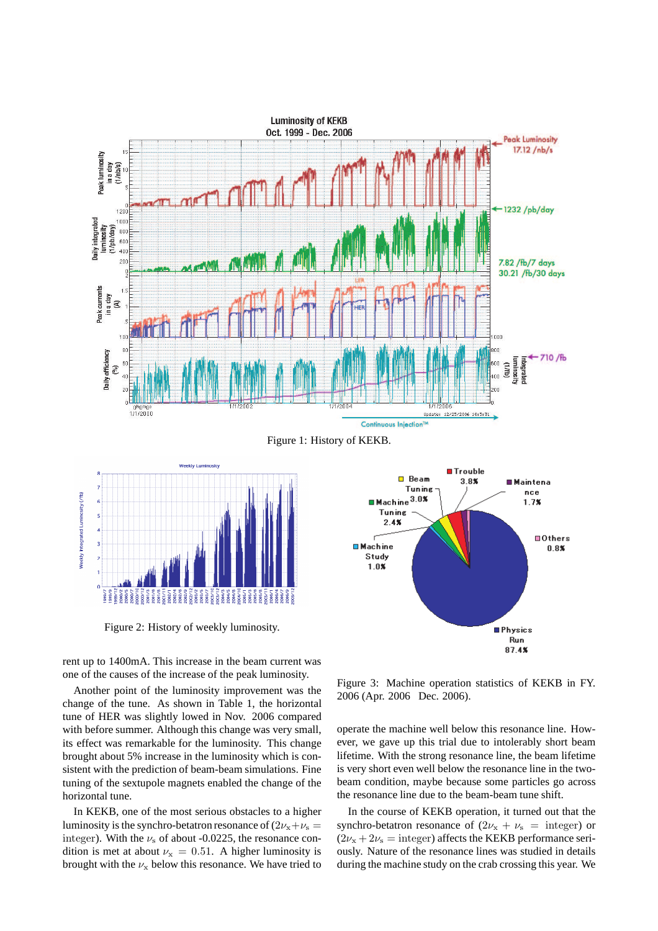



Figure 2: History of weekly luminosity.

rent up to 1400mA. This increase in the beam current was one of the causes of the increase of the peak luminosity.

Another point of the luminosity improvement was the change of the tune. As shown in Table 1, the horizontal tune of HER was slightly lowed in Nov. 2006 compared with before summer. Although this change was very small, its effect was remarkable for the luminosity. This change brought about 5% increase in the luminosity which is consistent with the prediction of beam-beam simulations. Fine tuning of the sextupole magnets enabled the change of the horizontal tune.

In KEKB, one of the most serious obstacles to a higher luminosity is the synchro-betatron resonance of  $(2v_x+v_s =$ integer). With the  $\nu_s$  of about -0.0225, the resonance condition is met at about  $\nu_x = 0.51$ . A higher luminosity is brought with the  $\nu_x$  below this resonance. We have tried to



Figure 3: Machine operation statistics of KEKB in FY. 2006 (Apr. 2006 Dec. 2006).

operate the machine well below this resonance line. However, we gave up this trial due to intolerably short beam lifetime. With the strong resonance line, the beam lifetime is very short even well below the resonance line in the twobeam condition, maybe because some particles go across the resonance line due to the beam-beam tune shift.

In the course of KEKB operation, it turned out that the synchro-betatron resonance of  $(2\nu_x + \nu_s)$  = integer) or  $(2\nu_{x} + 2\nu_{s} =$  integer) affects the KEKB performance seriously. Nature of the resonance lines was studied in details during the machine study on the crab crossing this year. We